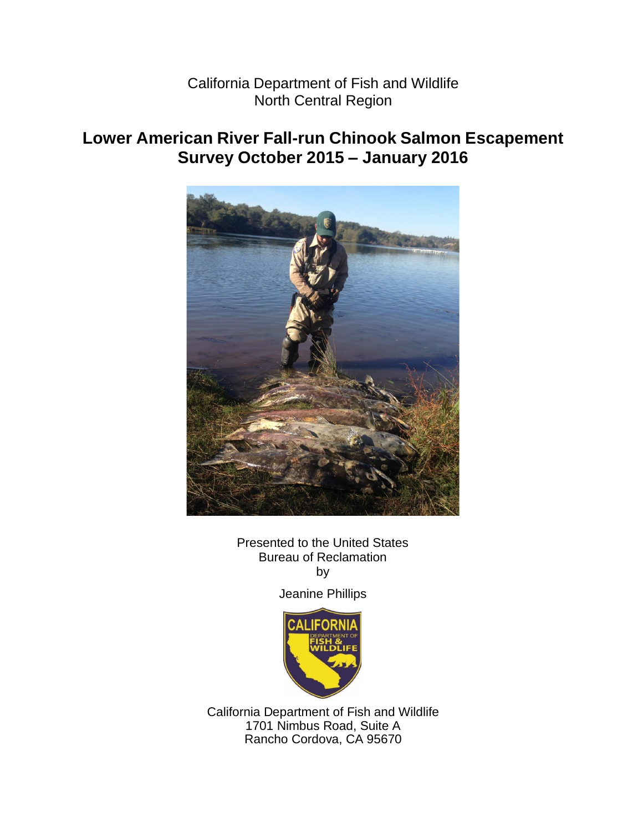California Department of Fish and Wildlife North Central Region

## **Lower American River Fall-run Chinook Salmon Escapement Survey October 2015 – January 2016**



Presented to the United States Bureau of Reclamation by

Jeanine Phillips



California Department of Fish and Wildlife 1701 Nimbus Road, Suite A Rancho Cordova, CA 95670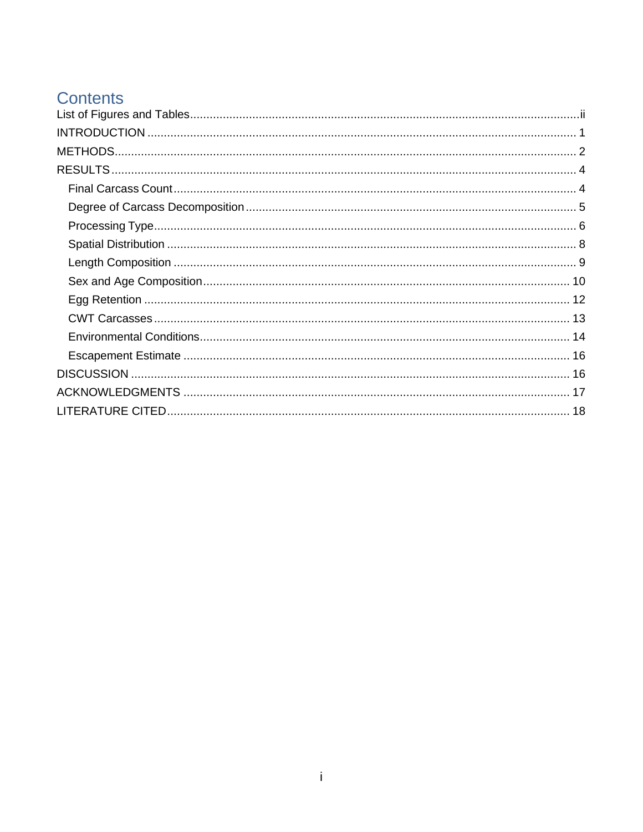## **Contents**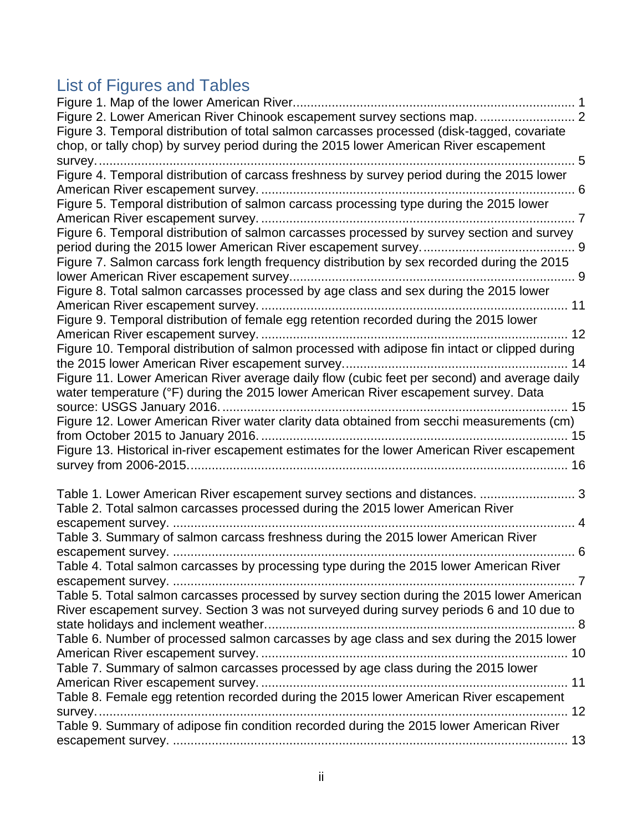# <span id="page-2-0"></span>List of Figures and Tables

| Figure 2. Lower American River Chinook escapement survey sections map.  2                      |  |
|------------------------------------------------------------------------------------------------|--|
| Figure 3. Temporal distribution of total salmon carcasses processed (disk-tagged, covariate    |  |
| chop, or tally chop) by survey period during the 2015 lower American River escapement          |  |
| survey                                                                                         |  |
| Figure 4. Temporal distribution of carcass freshness by survey period during the 2015 lower    |  |
|                                                                                                |  |
| Figure 5. Temporal distribution of salmon carcass processing type during the 2015 lower        |  |
|                                                                                                |  |
| Figure 6. Temporal distribution of salmon carcasses processed by survey section and survey     |  |
|                                                                                                |  |
| Figure 7. Salmon carcass fork length frequency distribution by sex recorded during the 2015    |  |
|                                                                                                |  |
| Figure 8. Total salmon carcasses processed by age class and sex during the 2015 lower          |  |
|                                                                                                |  |
| Figure 9. Temporal distribution of female egg retention recorded during the 2015 lower         |  |
|                                                                                                |  |
| Figure 10. Temporal distribution of salmon processed with adipose fin intact or clipped during |  |
|                                                                                                |  |
| Figure 11. Lower American River average daily flow (cubic feet per second) and average daily   |  |
| water temperature (°F) during the 2015 lower American River escapement survey. Data            |  |
|                                                                                                |  |
| Figure 12. Lower American River water clarity data obtained from secchi measurements (cm)      |  |
|                                                                                                |  |
| Figure 13. Historical in-river escapement estimates for the lower American River escapement    |  |
|                                                                                                |  |
|                                                                                                |  |
| Table 1. Lower American River escapement survey sections and distances.  3                     |  |
| Table 2. Total salmon carcasses processed during the 2015 lower American River                 |  |
|                                                                                                |  |
| Table 3. Summary of salmon carcass freshness during the 2015 lower American River              |  |
|                                                                                                |  |
| Table 4. Total salmon carcasses by processing type during the 2015 lower American River        |  |
|                                                                                                |  |
| Table 5. Total salmon carcasses processed by survey section during the 2015 lower American     |  |
| River escapement survey. Section 3 was not surveyed during survey periods 6 and 10 due to      |  |
|                                                                                                |  |
| Table 6. Number of processed salmon carcasses by age class and sex during the 2015 lower       |  |
|                                                                                                |  |
| Table 7. Summary of salmon carcasses processed by age class during the 2015 lower              |  |
|                                                                                                |  |
| Table 8. Female egg retention recorded during the 2015 lower American River escapement         |  |
|                                                                                                |  |
| Table 9. Summary of adipose fin condition recorded during the 2015 lower American River        |  |
|                                                                                                |  |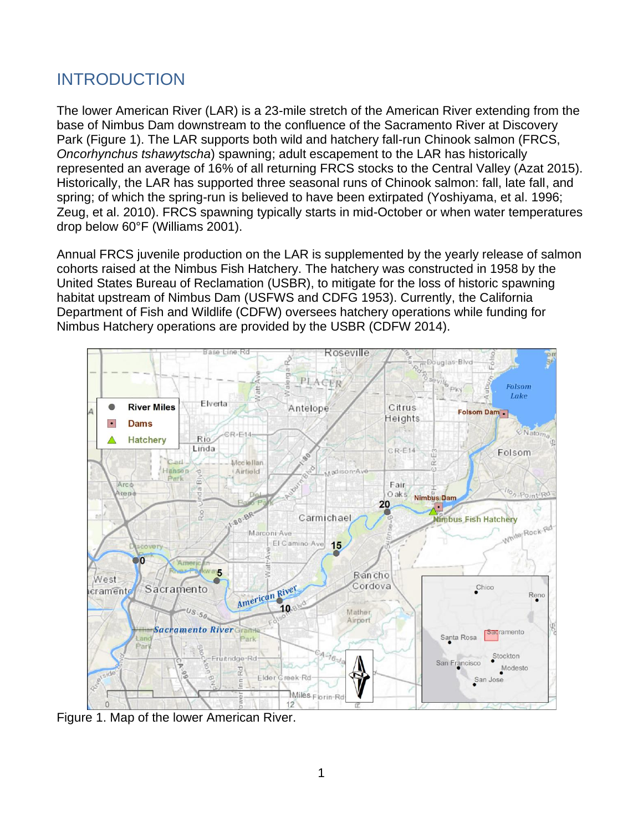## <span id="page-3-0"></span>INTRODUCTION

The lower American River (LAR) is a 23-mile stretch of the American River extending from the base of Nimbus Dam downstream to the confluence of the Sacramento River at Discovery Park [\(Figure 1\)](#page-3-1). The LAR supports both wild and hatchery fall-run Chinook salmon (FRCS, *Oncorhynchus tshawytscha*) spawning; adult escapement to the LAR has historically represented an average of 16% of all returning FRCS stocks to the Central Valley (Azat 2015). Historically, the LAR has supported three seasonal runs of Chinook salmon: fall, late fall, and spring; of which the spring-run is believed to have been extirpated (Yoshiyama, et al. 1996; Zeug, et al. 2010). FRCS spawning typically starts in mid-October or when water temperatures drop below 60°F (Williams 2001).

Annual FRCS juvenile production on the LAR is supplemented by the yearly release of salmon cohorts raised at the Nimbus Fish Hatchery. The hatchery was constructed in 1958 by the United States Bureau of Reclamation (USBR), to mitigate for the loss of historic spawning habitat upstream of Nimbus Dam (USFWS and CDFG 1953). Currently, the California Department of Fish and Wildlife (CDFW) oversees hatchery operations while funding for Nimbus Hatchery operations are provided by the USBR (CDFW 2014).



<span id="page-3-1"></span>Figure 1. Map of the lower American River.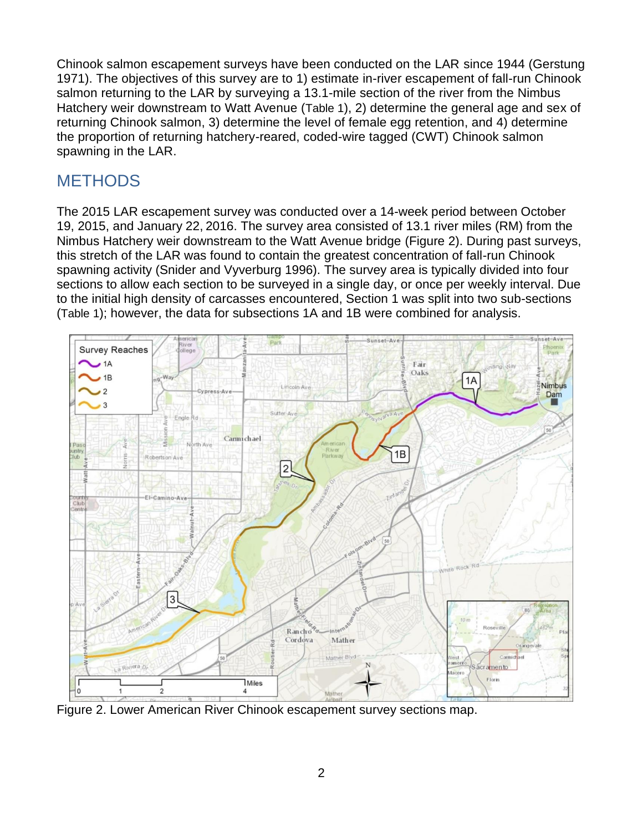Chinook salmon escapement surveys have been conducted on the LAR since 1944 (Gerstung 1971). The objectives of this survey are to 1) estimate in-river escapement of fall-run Chinook salmon returning to the LAR by surveying a 13.1-mile section of the river from the Nimbus Hatchery weir downstream to Watt Avenue ([Table 1](#page-5-0)), 2) determine the general age and sex of returning Chinook salmon, 3) determine the level of female egg retention, and 4) determine the proportion of returning hatchery-reared, coded-wire tagged (CWT) Chinook salmon spawning in the LAR.

## <span id="page-4-0"></span>**METHODS**

The 2015 LAR escapement survey was conducted over a 14-week period between October 19, 2015, and January 22, 2016. The survey area consisted of 13.1 river miles (RM) from the Nimbus Hatchery weir downstream to the Watt Avenue bridge [\(Figure 2\)](#page-4-1). During past surveys, this stretch of the LAR was found to contain the greatest concentration of fall-run Chinook spawning activity (Snider and Vyverburg 1996). The survey area is typically divided into four sections to allow each section to be surveyed in a single day, or once per weekly interval. Due to the initial high density of carcasses encountered, Section 1 was split into two sub-sections ([Table 1](#page-5-0)); however, the data for subsections 1A and 1B were combined for analysis.



<span id="page-4-1"></span>Figure 2. Lower American River Chinook escapement survey sections map.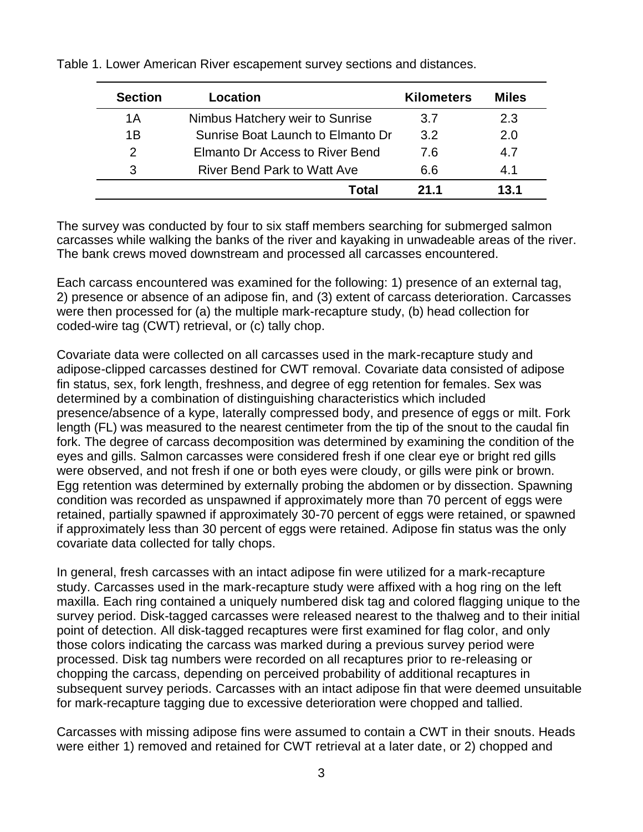<span id="page-5-0"></span>Table 1. Lower American River escapement survey sections and distances.

| <b>Section</b> | Location                           | <b>Kilometers</b> | <b>Miles</b> |
|----------------|------------------------------------|-------------------|--------------|
| 1 A            | Nimbus Hatchery weir to Sunrise    | 3.7               | 2.3          |
| 1B             | Sunrise Boat Launch to Elmanto Dr  | 3.2 <sub>2</sub>  | 2.0          |
| 2              | Elmanto Dr Access to River Bend    | 7.6               | 4.7          |
| 3              | <b>River Bend Park to Watt Ave</b> | 6.6               | 4.1          |
|                | Total                              | 21 1              | 13.1         |

The survey was conducted by four to six staff members searching for submerged salmon carcasses while walking the banks of the river and kayaking in unwadeable areas of the river. The bank crews moved downstream and processed all carcasses encountered.

Each carcass encountered was examined for the following: 1) presence of an external tag, 2) presence or absence of an adipose fin, and (3) extent of carcass deterioration. Carcasses were then processed for (a) the multiple mark-recapture study, (b) head collection for coded-wire tag (CWT) retrieval, or (c) tally chop.

Covariate data were collected on all carcasses used in the mark-recapture study and adipose-clipped carcasses destined for CWT removal. Covariate data consisted of adipose fin status, sex, fork length, freshness, and degree of egg retention for females. Sex was determined by a combination of distinguishing characteristics which included presence/absence of a kype, laterally compressed body, and presence of eggs or milt. Fork length (FL) was measured to the nearest centimeter from the tip of the snout to the caudal fin fork. The degree of carcass decomposition was determined by examining the condition of the eyes and gills. Salmon carcasses were considered fresh if one clear eye or bright red gills were observed, and not fresh if one or both eyes were cloudy, or gills were pink or brown. Egg retention was determined by externally probing the abdomen or by dissection. Spawning condition was recorded as unspawned if approximately more than 70 percent of eggs were retained, partially spawned if approximately 30-70 percent of eggs were retained, or spawned if approximately less than 30 percent of eggs were retained. Adipose fin status was the only covariate data collected for tally chops.

In general, fresh carcasses with an intact adipose fin were utilized for a mark-recapture study. Carcasses used in the mark-recapture study were affixed with a hog ring on the left maxilla. Each ring contained a uniquely numbered disk tag and colored flagging unique to the survey period. Disk-tagged carcasses were released nearest to the thalweg and to their initial point of detection. All disk-tagged recaptures were first examined for flag color, and only those colors indicating the carcass was marked during a previous survey period were processed. Disk tag numbers were recorded on all recaptures prior to re-releasing or chopping the carcass, depending on perceived probability of additional recaptures in subsequent survey periods. Carcasses with an intact adipose fin that were deemed unsuitable for mark-recapture tagging due to excessive deterioration were chopped and tallied.

Carcasses with missing adipose fins were assumed to contain a CWT in their snouts. Heads were either 1) removed and retained for CWT retrieval at a later date, or 2) chopped and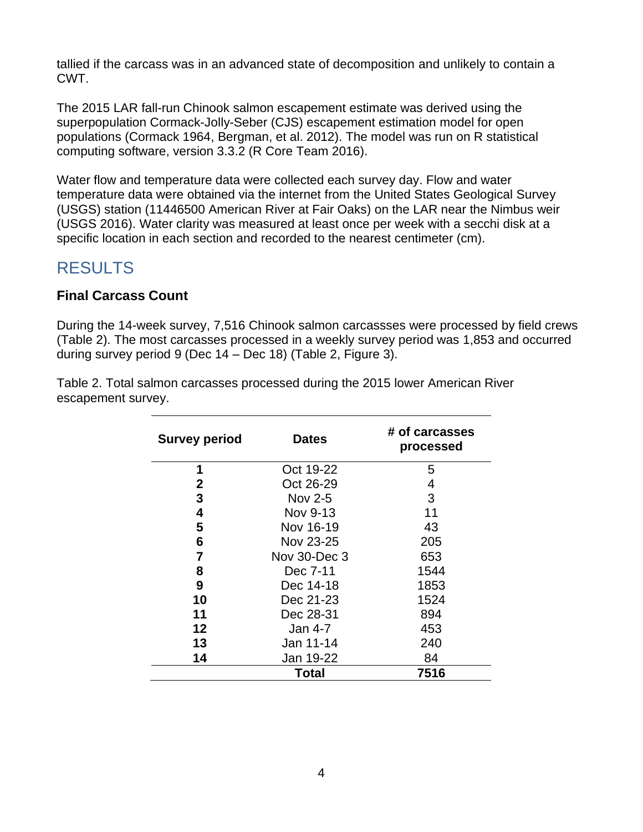tallied if the carcass was in an advanced state of decomposition and unlikely to contain a CWT.

The 2015 LAR fall-run Chinook salmon escapement estimate was derived using the superpopulation Cormack-Jolly-Seber (CJS) escapement estimation model for open populations (Cormack 1964, Bergman, et al. 2012). The model was run on R statistical computing software, version 3.3.2 (R Core Team 2016).

Water flow and temperature data were collected each survey day. Flow and water temperature data were obtained via the internet from the United States Geological Survey (USGS) station (11446500 American River at Fair Oaks) on the LAR near the Nimbus weir (USGS 2016). Water clarity was measured at least once per week with a secchi disk at a specific location in each section and recorded to the nearest centimeter (cm).

## <span id="page-6-0"></span>RESULTS

#### <span id="page-6-1"></span>**Final Carcass Count**

During the 14-week survey, 7,516 Chinook salmon carcassses were processed by field crews [\(Table 2\)](#page-6-2). The most carcasses processed in a weekly survey period was 1,853 and occurred during survey period 9 (Dec 14 – Dec 18) [\(Table 2,](#page-6-2) [Figure 3\)](#page-7-1).

| <b>Survey period</b> | <b>Dates</b> | # of carcasses<br>processed |
|----------------------|--------------|-----------------------------|
| 1                    | Oct 19-22    | 5                           |
| $\mathbf{2}$         | Oct 26-29    | 4                           |
| 3                    | Nov 2-5      | 3                           |
| 4                    | Nov 9-13     | 11                          |
| 5                    | Nov 16-19    | 43                          |
| 6                    | Nov 23-25    | 205                         |
| $\overline{7}$       | Nov 30-Dec 3 | 653                         |
| 8                    | Dec 7-11     | 1544                        |
| 9                    | Dec 14-18    | 1853                        |
| 10                   | Dec 21-23    | 1524                        |
| 11                   | Dec 28-31    | 894                         |
| 12                   | Jan 4-7      | 453                         |
| 13                   | Jan 11-14    | 240                         |
| 14                   | Jan 19-22    | 84                          |
|                      | Total        | 7516                        |

<span id="page-6-2"></span>Table 2. Total salmon carcasses processed during the 2015 lower American River escapement survey.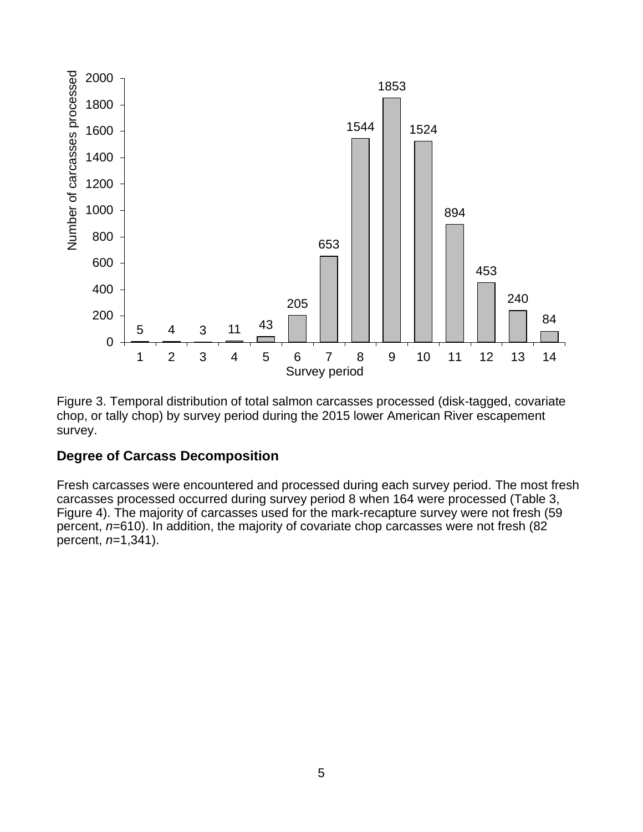

<span id="page-7-1"></span>Figure 3. Temporal distribution of total salmon carcasses processed (disk-tagged, covariate chop, or tally chop) by survey period during the 2015 lower American River escapement survey.

#### <span id="page-7-0"></span>**Degree of Carcass Decomposition**

Fresh carcasses were encountered and processed during each survey period. The most fresh carcasses processed occurred during survey period 8 when 164 were processed [\(Table 3,](#page-8-2) [Figure 4\)](#page-8-1). The majority of carcasses used for the mark-recapture survey were not fresh (59 percent, *n*=610). In addition, the majority of covariate chop carcasses were not fresh (82 percent, *n*=1,341).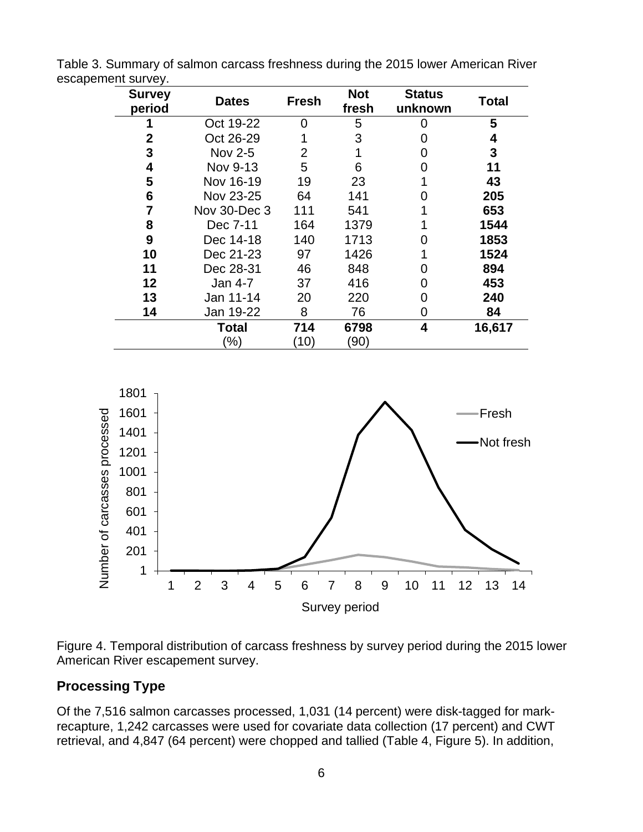| <b>Survey</b><br>period | <b>Dates</b>  | <b>Fresh</b> | <b>Not</b><br>fresh | <b>Status</b><br>unknown | Total  |
|-------------------------|---------------|--------------|---------------------|--------------------------|--------|
|                         | Oct 19-22     | 0            | 5                   | 0                        | 5      |
| 2                       | Oct 26-29     |              | 3                   | 0                        | 4      |
| 3                       | Nov 2-5       | 2            |                     | O                        | 3      |
| 4                       | Nov 9-13      | 5            | 6                   | O                        | 11     |
| 5                       | Nov 16-19     | 19           | 23                  |                          | 43     |
| 6                       | Nov 23-25     | 64           | 141                 |                          | 205    |
| 7                       | Nov 30-Dec 3  | 111          | 541                 |                          | 653    |
| 8                       | Dec 7-11      | 164          | 1379                |                          | 1544   |
| 9                       | Dec 14-18     | 140          | 1713                | O                        | 1853   |
| 10                      | Dec 21-23     | 97           | 1426                |                          | 1524   |
| 11                      | Dec 28-31     | 46           | 848                 | O                        | 894    |
| 12                      | Jan 4-7       | 37           | 416                 | 0                        | 453    |
| 13                      | Jan 11-14     | 20           | 220                 | O                        | 240    |
| 14                      | Jan 19-22     | 8            | 76                  | 0                        | 84     |
|                         | Total         | 714          | 6798                | 4                        | 16,617 |
|                         | $\frac{9}{6}$ | (10)         | (90)                |                          |        |

<span id="page-8-2"></span>Table 3. Summary of salmon carcass freshness during the 2015 lower American River escapement survey.



<span id="page-8-1"></span>

#### <span id="page-8-0"></span>**Processing Type**

Of the 7,516 salmon carcasses processed, 1,031 (14 percent) were disk-tagged for markrecapture, 1,242 carcasses were used for covariate data collection (17 percent) and CWT retrieval, and 4,847 (64 percent) were chopped and tallied [\(Table 4,](#page-9-1) [Figure 5\)](#page-9-0). In addition,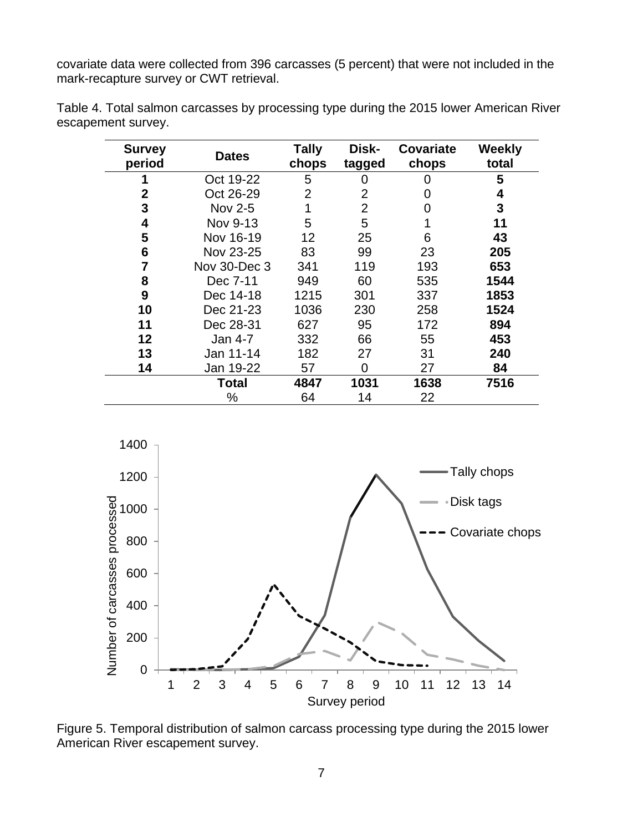covariate data were collected from 396 carcasses (5 percent) that were not included in the mark-recapture survey or CWT retrieval.

| <b>Survey</b> | <b>Dates</b>   | Tally | Disk-  | <b>Covariate</b> | <b>Weekly</b> |
|---------------|----------------|-------|--------|------------------|---------------|
| period        |                | chops | tagged | chops            | total         |
|               | Oct 19-22      | 5     | 0      | 0                | 5             |
| $\mathbf 2$   | Oct 26-29      | 2     | 2      |                  | 4             |
| 3             | <b>Nov 2-5</b> |       | 2      |                  | 3             |
| 4             | Nov 9-13       | 5     | 5      |                  | 11            |
| 5             | Nov 16-19      | 12    | 25     | 6                | 43            |
| 6             | Nov 23-25      | 83    | 99     | 23               | 205           |
| 7             | Nov 30-Dec 3   | 341   | 119    | 193              | 653           |
| 8             | Dec 7-11       | 949   | 60     | 535              | 1544          |
| 9             | Dec 14-18      | 1215  | 301    | 337              | 1853          |
| 10            | Dec 21-23      | 1036  | 230    | 258              | 1524          |
| 11            | Dec 28-31      | 627   | 95     | 172              | 894           |
| 12            | Jan 4-7        | 332   | 66     | 55               | 453           |
| 13            | Jan 11-14      | 182   | 27     | 31               | 240           |
| 14            | Jan 19-22      | 57    | 0      | 27               | 84            |
|               | Total          | 4847  | 1031   | 1638             | 7516          |
|               | %              | 64    | 14     | 22               |               |

<span id="page-9-1"></span>Table 4. Total salmon carcasses by processing type during the 2015 lower American River escapement survey.



<span id="page-9-0"></span>Figure 5. Temporal distribution of salmon carcass processing type during the 2015 lower American River escapement survey.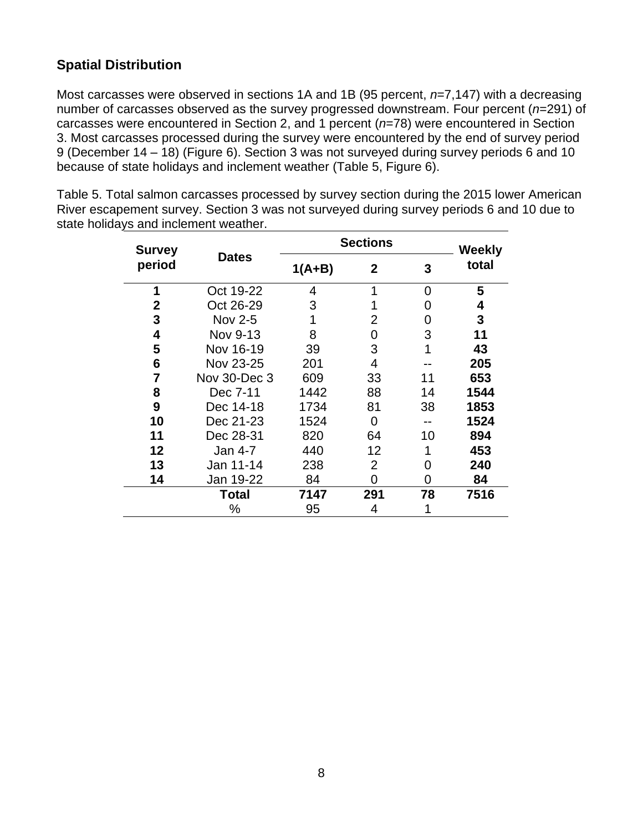### <span id="page-10-0"></span>**Spatial Distribution**

Most carcasses were observed in sections 1A and 1B (95 percent, *n*=7,147) with a decreasing number of carcasses observed as the survey progressed downstream. Four percent (*n*=291) of carcasses were encountered in Section 2, and 1 percent (*n*=78) were encountered in Section 3. Most carcasses processed during the survey were encountered by the end of survey period 9 (December 14 – 18) [\(Figure 6\)](#page-11-1). Section 3 was not surveyed during survey periods 6 and 10 because of state holidays and inclement weather [\(Table 5,](#page-10-1) [Figure 6\)](#page-11-1).

| <b>Survey</b> |              | <b>Sections</b> |                |    |       |  | <b>Weekly</b> |  |
|---------------|--------------|-----------------|----------------|----|-------|--|---------------|--|
| period        | <b>Dates</b> | $1(A+B)$        | $\mathbf{2}$   | 3  | total |  |               |  |
| 1             | Oct 19-22    | 4               | 1              | O  | 5     |  |               |  |
| 2             | Oct 26-29    | 3               |                | 0  | 4     |  |               |  |
| 3             | Nov 2-5      | 1               | 2              | O  | 3     |  |               |  |
| 4             | Nov 9-13     | 8               | 0              | 3  | 11    |  |               |  |
| 5             | Nov 16-19    | 39              | 3              |    | 43    |  |               |  |
| 6             | Nov 23-25    | 201             | 4              |    | 205   |  |               |  |
| 7             | Nov 30-Dec 3 | 609             | 33             | 11 | 653   |  |               |  |
| 8             | Dec 7-11     | 1442            | 88             | 14 | 1544  |  |               |  |
| 9             | Dec 14-18    | 1734            | 81             | 38 | 1853  |  |               |  |
| 10            | Dec 21-23    | 1524            | 0              |    | 1524  |  |               |  |
| 11            | Dec 28-31    | 820             | 64             | 10 | 894   |  |               |  |
| 12            | Jan 4-7      | 440             | 12             |    | 453   |  |               |  |
| 13            | Jan 11-14    | 238             | $\overline{2}$ | O  | 240   |  |               |  |
| 14            | Jan 19-22    | 84              | 0              | 0  | 84    |  |               |  |
|               | Total        | 7147            | 291            | 78 | 7516  |  |               |  |
|               | %            | 95              | 4              |    |       |  |               |  |

<span id="page-10-1"></span>Table 5. Total salmon carcasses processed by survey section during the 2015 lower American River escapement survey. Section 3 was not surveyed during survey periods 6 and 10 due to state holidays and inclement weather.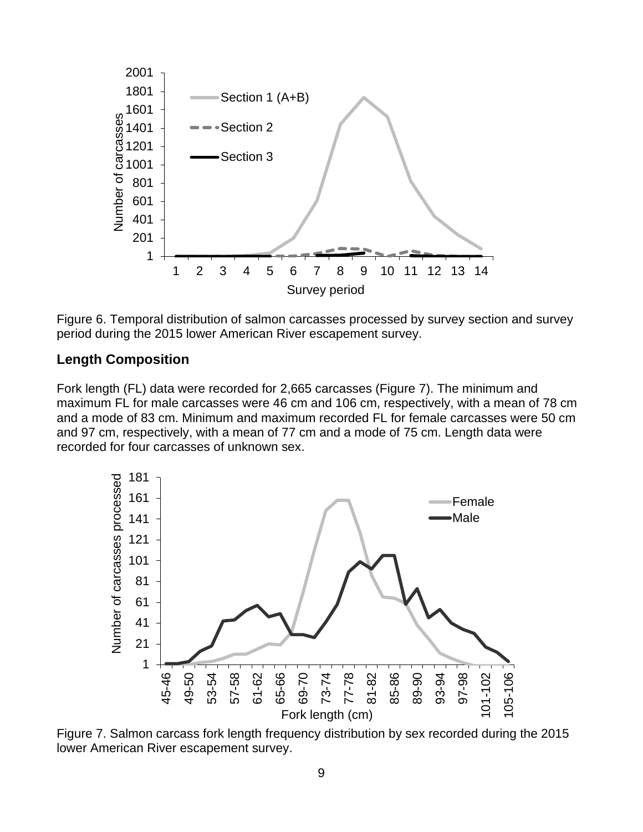

<span id="page-11-1"></span>Figure 6. Temporal distribution of salmon carcasses processed by survey section and survey period during the 2015 lower American River escapement survey.

#### <span id="page-11-0"></span>**Length Composition**

Fork length (FL) data were recorded for 2,665 carcasses [\(Figure 7\)](#page-11-2). The minimum and maximum FL for male carcasses were 46 cm and 106 cm, respectively, with a mean of 78 cm and a mode of 83 cm. Minimum and maximum recorded FL for female carcasses were 50 cm and 97 cm, respectively, with a mean of 77 cm and a mode of 75 cm. Length data were recorded for four carcasses of unknown sex.



<span id="page-11-2"></span>Figure 7. Salmon carcass fork length frequency distribution by sex recorded during the 2015 lower American River escapement survey.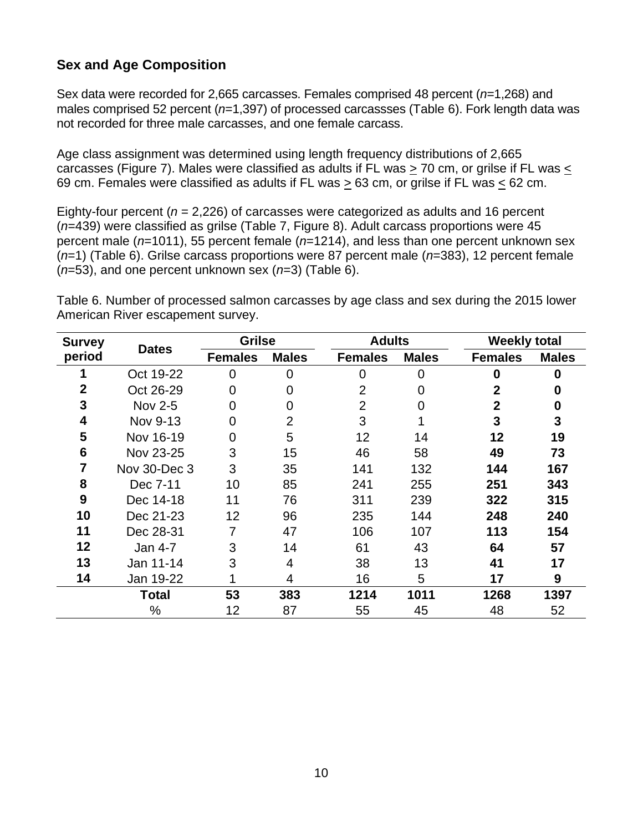### <span id="page-12-0"></span>**Sex and Age Composition**

Sex data were recorded for 2,665 carcasses. Females comprised 48 percent (*n*=1,268) and males comprised 52 percent (*n*=1,397) of processed carcassses [\(Table 6\)](#page-12-1). Fork length data was not recorded for three male carcasses, and one female carcass.

Age class assignment was determined using length frequency distributions of 2,665 carcasses [\(Figure 7\)](#page-11-2). Males were classified as adults if FL was > 70 cm, or grilse if FL was < 69 cm. Females were classified as adults if FL was > 63 cm, or grilse if FL was < 62 cm.

Eighty-four percent (*n* = 2,226) of carcasses were categorized as adults and 16 percent (*n*=439) were classified as grilse [\(Table 7,](#page-13-1) [Figure 8\)](#page-13-0). Adult carcass proportions were 45 percent male (*n*=1011), 55 percent female (*n*=1214), and less than one percent unknown sex (*n*=1) [\(Table 6\)](#page-12-1). Grilse carcass proportions were 87 percent male (*n*=383), 12 percent female (*n*=53), and one percent unknown sex (*n*=3) [\(Table 6\)](#page-12-1).

<span id="page-12-1"></span>Table 6. Number of processed salmon carcasses by age class and sex during the 2015 lower American River escapement survey.

| <b>Survey</b> |              | <b>Grilse</b>  |              |                | <b>Adults</b> |                | <b>Weekly total</b> |
|---------------|--------------|----------------|--------------|----------------|---------------|----------------|---------------------|
| period        | <b>Dates</b> | <b>Females</b> | <b>Males</b> | <b>Females</b> | <b>Males</b>  | <b>Females</b> | <b>Males</b>        |
|               | Oct 19-22    | $\overline{0}$ | $\Omega$     | 0              | 0             | $\bf{0}$       | 0                   |
| 2             | Oct 26-29    | 0              | ∩            | $\overline{2}$ | 0             | 2              | 0                   |
| 3             | Nov 2-5      | $\overline{0}$ | O            | $\overline{2}$ | O             | $\overline{2}$ | 0                   |
| 4             | Nov 9-13     | 0              | 2            | 3              |               | 3              | 3                   |
| 5             | Nov 16-19    | 0              | 5            | 12             | 14            | 12             | 19                  |
| 6             | Nov 23-25    | 3              | 15           | 46             | 58            | 49             | 73                  |
|               | Nov 30-Dec 3 | 3              | 35           | 141            | 132           | 144            | 167                 |
| 8             | Dec 7-11     | 10             | 85           | 241            | 255           | 251            | 343                 |
| 9             | Dec 14-18    | 11             | 76           | 311            | 239           | 322            | 315                 |
| 10            | Dec 21-23    | 12             | 96           | 235            | 144           | 248            | 240                 |
| 11            | Dec 28-31    | 7              | 47           | 106            | 107           | 113            | 154                 |
| 12            | Jan 4-7      | 3              | 14           | 61             | 43            | 64             | 57                  |
| 13            | Jan 11-14    | 3              | 4            | 38             | 13            | 41             | 17                  |
| 14            | Jan 19-22    |                | 4            | 16             | 5             | 17             | 9                   |
|               | <b>Total</b> | 53             | 383          | 1214           | 1011          | 1268           | 1397                |
|               | %            | 12             | 87           | 55             | 45            | 48             | 52                  |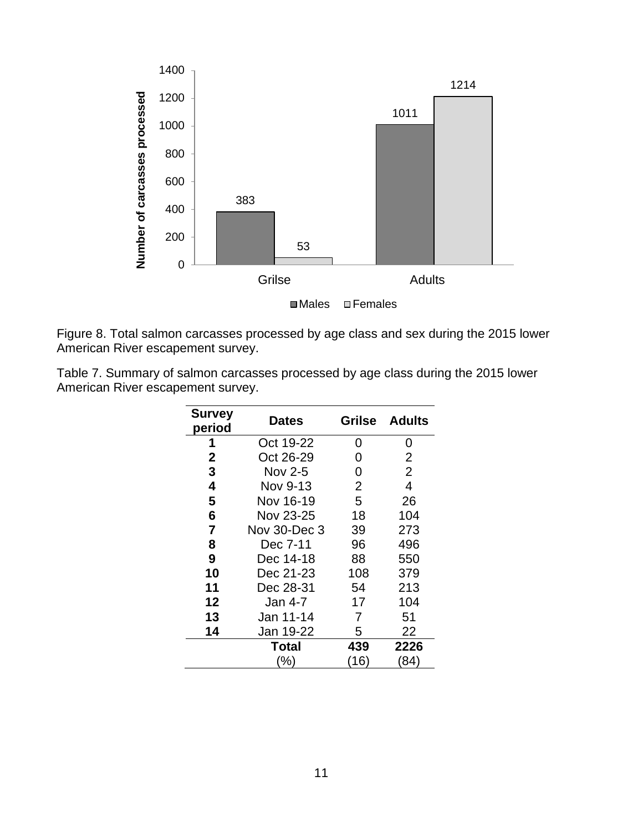

<span id="page-13-0"></span>Figure 8. Total salmon carcasses processed by age class and sex during the 2015 lower American River escapement survey.

<span id="page-13-1"></span>

| Table 7. Summary of salmon carcasses processed by age class during the 2015 lower |  |
|-----------------------------------------------------------------------------------|--|
| American River escapement survey.                                                 |  |

| <b>Survey</b><br>period | <b>Dates</b> | Grilse         | <b>Adults</b>  |
|-------------------------|--------------|----------------|----------------|
| Oct 19-22<br>1          |              | 0              | 0              |
| $\mathbf 2$             | Oct 26-29    | 0              | $\overline{2}$ |
| 3                       | Nov 2-5      | 0              | $\overline{2}$ |
| 4                       | Nov 9-13     | $\overline{2}$ | 4              |
| 5                       | Nov 16-19    | 5              | 26             |
| 6                       | Nov 23-25    | 18             | 104            |
| $\overline{7}$          | Nov 30-Dec 3 | 39             | 273            |
| 8                       | Dec 7-11     | 96             | 496            |
| 9                       | Dec 14-18    | 88             | 550            |
| 10                      | Dec 21-23    | 108            | 379            |
| 11                      | Dec 28-31    | 54             | 213            |
| 12                      | Jan 4-7      | 17             | 104            |
| 13                      | Jan 11-14    |                | 51             |
| 14                      | Jan 19-22    | 5              | 22             |
|                         | <b>Total</b> | 439            | 2226           |
|                         | (%)          | (16)           | (84)           |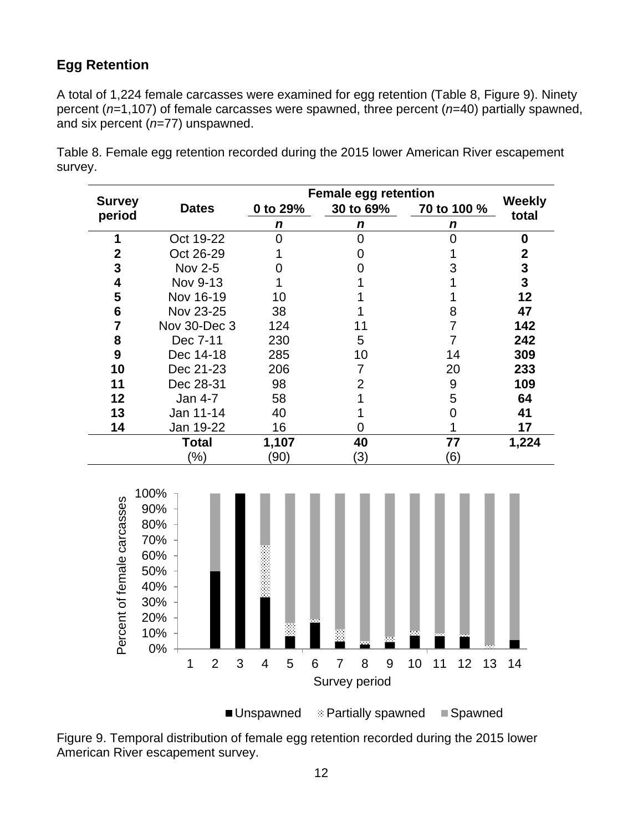### <span id="page-14-0"></span>**Egg Retention**

A total of 1,224 female carcasses were examined for egg retention [\(Table 8,](#page-14-2) [Figure 9\)](#page-14-1). Ninety percent (*n*=1,107) of female carcasses were spawned, three percent (*n*=40) partially spawned, and six percent (*n*=77) unspawned.

|                         |              | <b>Female egg retention</b> |           |             |                        |
|-------------------------|--------------|-----------------------------|-----------|-------------|------------------------|
| <b>Survey</b><br>period | <b>Dates</b> | 0 to 29%                    | 30 to 69% | 70 to 100 % | <b>Weekly</b><br>total |
|                         |              | n                           | n         | n           |                        |
| 1                       | Oct 19-22    |                             |           |             | 0                      |
| 2                       | Oct 26-29    |                             |           |             | 2                      |
| 3                       | Nov 2-5      |                             |           |             | 3                      |
| 4                       | Nov 9-13     |                             |           |             | 3                      |
| 5                       | Nov 16-19    | 10                          |           |             | 12                     |
| 6                       | Nov 23-25    | 38                          |           | 8           | 47                     |
| 7                       | Nov 30-Dec 3 | 124                         | 11        |             | 142                    |
| 8                       | Dec 7-11     | 230                         | 5         |             | 242                    |
| 9                       | Dec 14-18    | 285                         | 10        | 14          | 309                    |
| 10                      | Dec 21-23    | 206                         |           | 20          | 233                    |
| 11                      | Dec 28-31    | 98                          | 2         | 9           | 109                    |
| 12                      | Jan 4-7      | 58                          |           | 5           | 64                     |
| 13                      | Jan 11-14    | 40                          |           |             | 41                     |
| 14                      | Jan 19-22    | 16                          |           |             | 17                     |
|                         | Total        | 1,107                       | 40        | 77          | 1,224                  |
|                         | $(\%)$       | (90)                        | (3)       | (6)         |                        |

<span id="page-14-2"></span>Table 8. Female egg retention recorded during the 2015 lower American River escapement survey.



■ Unspawned **Example Spawned** Nonspawned Spawned

<span id="page-14-1"></span>Figure 9. Temporal distribution of female egg retention recorded during the 2015 lower American River escapement survey.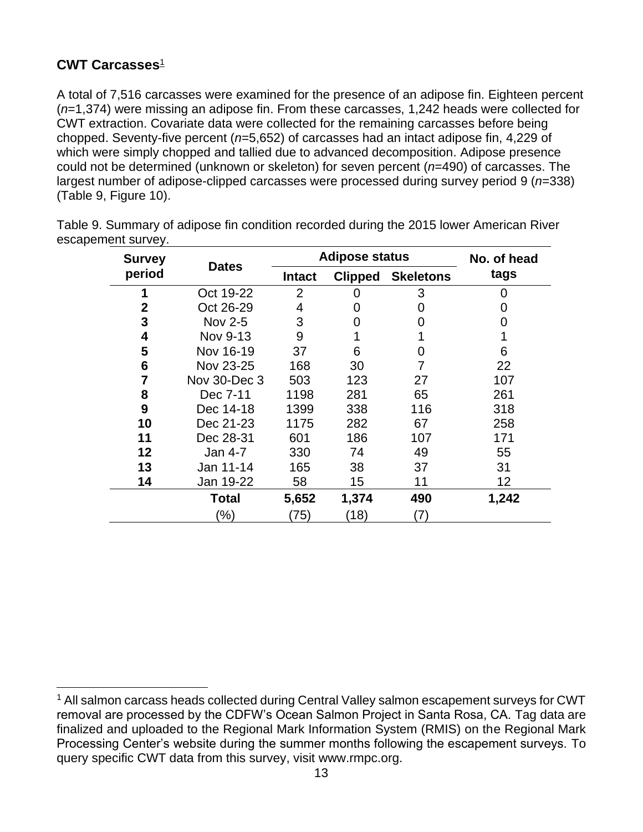### <span id="page-15-0"></span>**CWT Carcasses**<sup>1</sup>

A total of 7,516 carcasses were examined for the presence of an adipose fin. Eighteen percent (*n*=1,374) were missing an adipose fin. From these carcasses, 1,242 heads were collected for CWT extraction. Covariate data were collected for the remaining carcasses before being chopped. Seventy-five percent (*n*=5,652) of carcasses had an intact adipose fin, 4,229 of which were simply chopped and tallied due to advanced decomposition. Adipose presence could not be determined (unknown or skeleton) for seven percent (*n*=490) of carcasses. The largest number of adipose-clipped carcasses were processed during survey period 9 (*n*=338) [\(Table 9,](#page-15-1) [Figure 10\)](#page-16-1).

| <b>Survey</b>  | <b>Dates</b> | <b>Adipose status</b> |                |                  | No. of head |
|----------------|--------------|-----------------------|----------------|------------------|-------------|
| period         |              | <b>Intact</b>         | <b>Clipped</b> | <b>Skeletons</b> | tags        |
|                | Oct 19-22    | $\overline{2}$        | 0              | 3                | 0           |
| $\mathbf 2$    | Oct 26-29    | 4                     | 0              | 0                | 0           |
| 3              | Nov 2-5      | 3                     | 0              | 0                | 0           |
| 4              | Nov 9-13     | 9                     |                |                  |             |
| 5              | Nov 16-19    | 37                    | 6              | 0                | 6           |
| 6              | Nov 23-25    | 168                   | 30             | 7                | 22          |
| $\overline{7}$ | Nov 30-Dec 3 | 503                   | 123            | 27               | 107         |
| 8              | Dec 7-11     | 1198                  | 281            | 65               | 261         |
| 9              | Dec 14-18    | 1399                  | 338            | 116              | 318         |
| 10             | Dec 21-23    | 1175                  | 282            | 67               | 258         |
| 11             | Dec 28-31    | 601                   | 186            | 107              | 171         |
| 12             | Jan 4-7      | 330                   | 74             | 49               | 55          |
| 13             | Jan 11-14    | 165                   | 38             | 37               | 31          |
| 14             | Jan 19-22    | 58                    | 15             | 11               | 12          |
|                | Total        | 5,652                 | 1,374          | 490              | 1,242       |
|                | (%)          | (75)                  | (18)           | (7)              |             |

<span id="page-15-1"></span>Table 9. Summary of adipose fin condition recorded during the 2015 lower American River escapement survey.

<sup>&</sup>lt;sup>1</sup> All salmon carcass heads collected during Central Valley salmon escapement surveys for CWT removal are processed by the CDFW's Ocean Salmon Project in Santa Rosa, CA. Tag data are finalized and uploaded to the Regional Mark Information System (RMIS) on the Regional Mark Processing Center's website during the summer months following the escapement surveys. To query specific CWT data from this survey, visit [www.rmpc.org.](http://www.rmpc.org/)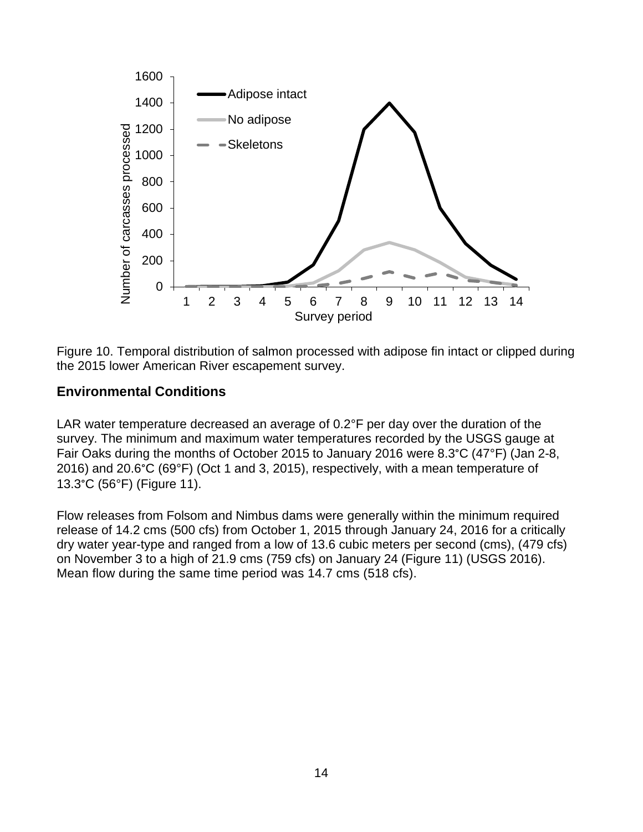

<span id="page-16-1"></span>Figure 10. Temporal distribution of salmon processed with adipose fin intact or clipped during the 2015 lower American River escapement survey.

#### <span id="page-16-0"></span>**Environmental Conditions**

LAR water temperature decreased an average of 0.2°F per day over the duration of the survey. The minimum and maximum water temperatures recorded by the USGS gauge at Fair Oaks during the months of October 2015 to January 2016 were 8.3°C (47°F) (Jan 2-8, 2016) and 20.6°C (69°F) (Oct 1 and 3, 2015), respectively, with a mean temperature of 13.3°C (56°F) [\(Figure 11\)](#page-17-0).

Flow releases from Folsom and Nimbus dams were generally within the minimum required release of 14.2 cms (500 cfs) from October 1, 2015 through January 24, 2016 for a critically dry water year-type and ranged from a low of 13.6 cubic meters per second (cms), (479 cfs) on November 3 to a high of 21.9 cms (759 cfs) on January 24 [\(Figure 11\)](#page-17-0) (USGS 2016). Mean flow during the same time period was 14.7 cms (518 cfs).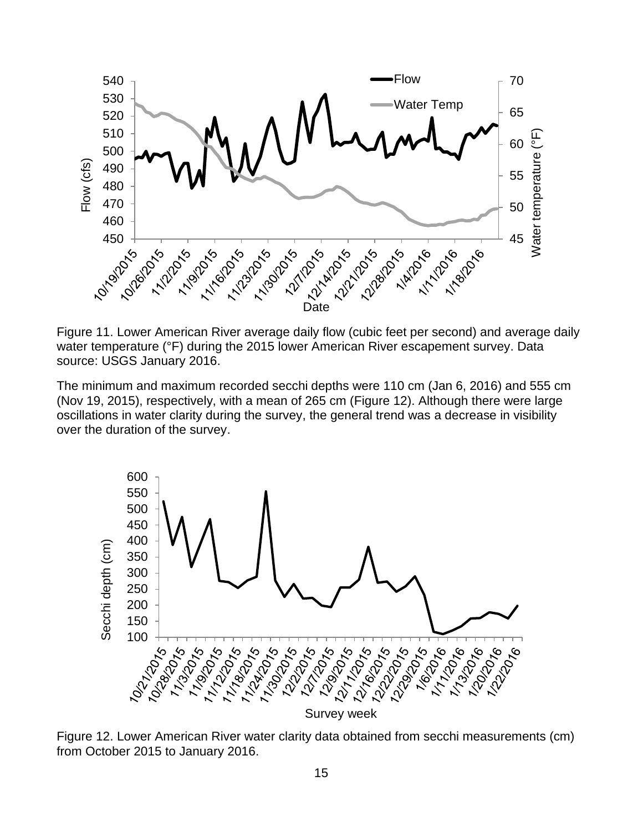

<span id="page-17-0"></span>Figure 11. Lower American River average daily flow (cubic feet per second) and average daily water temperature (°F) during the 2015 lower American River escapement survey. Data source: USGS January 2016.

The minimum and maximum recorded secchi depths were 110 cm (Jan 6, 2016) and 555 cm (Nov 19, 2015), respectively, with a mean of 265 cm [\(Figure 12\)](#page-17-1). Although there were large oscillations in water clarity during the survey, the general trend was a decrease in visibility over the duration of the survey.



<span id="page-17-1"></span>Figure 12. Lower American River water clarity data obtained from secchi measurements (cm) from October 2015 to January 2016.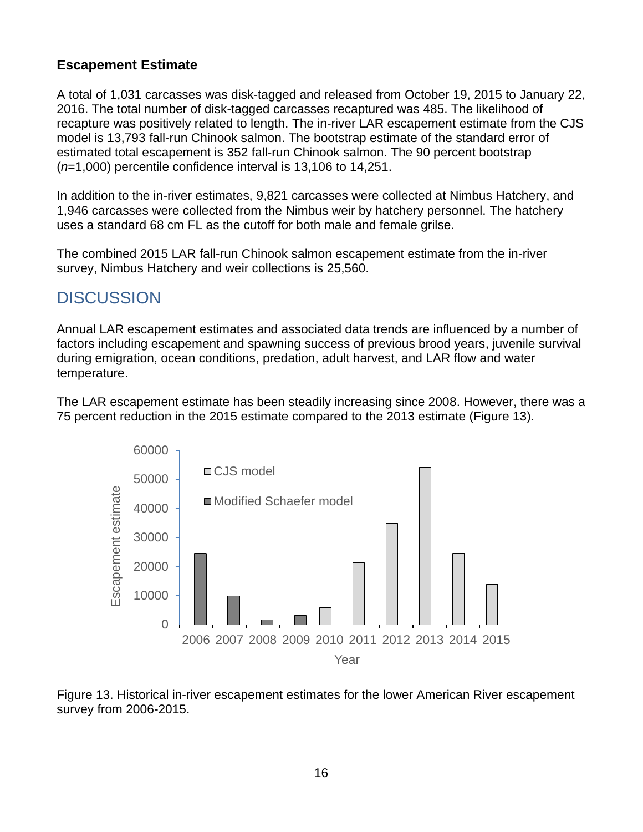### <span id="page-18-0"></span>**Escapement Estimate**

A total of 1,031 carcasses was disk-tagged and released from October 19, 2015 to January 22, 2016. The total number of disk-tagged carcasses recaptured was 485. The likelihood of recapture was positively related to length. The in-river LAR escapement estimate from the CJS model is 13,793 fall-run Chinook salmon. The bootstrap estimate of the standard error of estimated total escapement is 352 fall-run Chinook salmon. The 90 percent bootstrap (*n*=1,000) percentile confidence interval is 13,106 to 14,251.

In addition to the in-river estimates, 9,821 carcasses were collected at Nimbus Hatchery, and 1,946 carcasses were collected from the Nimbus weir by hatchery personnel. The hatchery uses a standard 68 cm FL as the cutoff for both male and female grilse.

The combined 2015 LAR fall-run Chinook salmon escapement estimate from the in-river survey, Nimbus Hatchery and weir collections is 25,560.

## <span id="page-18-1"></span>**DISCUSSION**

Annual LAR escapement estimates and associated data trends are influenced by a number of factors including escapement and spawning success of previous brood years, juvenile survival during emigration, ocean conditions, predation, adult harvest, and LAR flow and water temperature.

The LAR escapement estimate has been steadily increasing since 2008. However, there was a 75 percent reduction in the 2015 estimate compared to the 2013 estimate [\(Figure 13\)](#page-18-2).



<span id="page-18-2"></span>Figure 13. Historical in-river escapement estimates for the lower American River escapement survey from 2006-2015.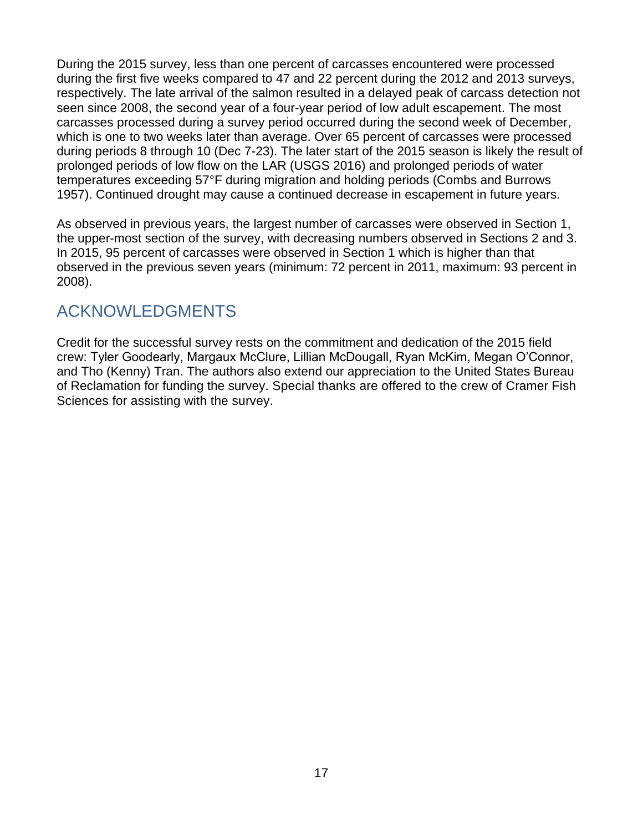During the 2015 survey, less than one percent of carcasses encountered were processed during the first five weeks compared to 47 and 22 percent during the 2012 and 2013 surveys, respectively. The late arrival of the salmon resulted in a delayed peak of carcass detection not seen since 2008, the second year of a four-year period of low adult escapement. The most carcasses processed during a survey period occurred during the second week of December, which is one to two weeks later than average. Over 65 percent of carcasses were processed during periods 8 through 10 (Dec 7-23). The later start of the 2015 season is likely the result of prolonged periods of low flow on the LAR (USGS 2016) and prolonged periods of water temperatures exceeding 57°F during migration and holding periods (Combs and Burrows 1957). Continued drought may cause a continued decrease in escapement in future years.

As observed in previous years, the largest number of carcasses were observed in Section 1, the upper-most section of the survey, with decreasing numbers observed in Sections 2 and 3. In 2015, 95 percent of carcasses were observed in Section 1 which is higher than that observed in the previous seven years (minimum: 72 percent in 2011, maximum: 93 percent in 2008).

### <span id="page-19-0"></span>ACKNOWLEDGMENTS

Credit for the successful survey rests on the commitment and dedication of the 2015 field crew: Tyler Goodearly, Margaux McClure, Lillian McDougall, Ryan McKim, Megan O'Connor, and Tho (Kenny) Tran. The authors also extend our appreciation to the United States Bureau of Reclamation for funding the survey. Special thanks are offered to the crew of Cramer Fish Sciences for assisting with the survey.